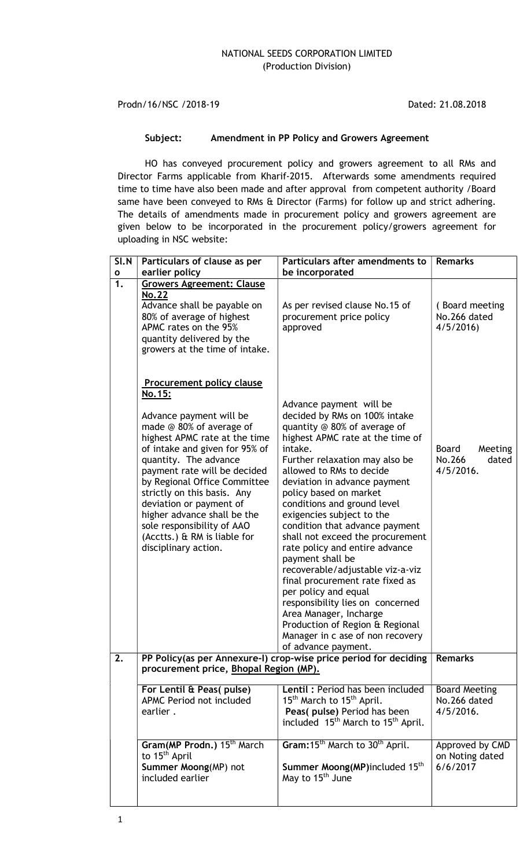Prodn/16/NSC /2018-19 Dated: 21.08.2018

## Subject: Amendment in PP Policy and Growers Agreement

HO has conveyed procurement policy and growers agreement to all RMs and Director Farms applicable from Kharif-2015. Afterwards some amendments required time to time have also been made and after approval from competent authority /Board same have been conveyed to RMs & Director (Farms) for follow up and strict adhering. The details of amendments made in procurement policy and growers agreement are given below to be incorporated in the procurement policy/growers agreement for uploading in NSC website:

| $\overline{S}$ l.N | Particulars of clause as per                                                                                                                                                                                                                                                                                                                                                                                                                 | Particulars after amendments to                                                                                                                                                                                                                                                                                                                                                                                                                                                                                                                                                                                                                                                                                    | <b>Remarks</b>                                    |
|--------------------|----------------------------------------------------------------------------------------------------------------------------------------------------------------------------------------------------------------------------------------------------------------------------------------------------------------------------------------------------------------------------------------------------------------------------------------------|--------------------------------------------------------------------------------------------------------------------------------------------------------------------------------------------------------------------------------------------------------------------------------------------------------------------------------------------------------------------------------------------------------------------------------------------------------------------------------------------------------------------------------------------------------------------------------------------------------------------------------------------------------------------------------------------------------------------|---------------------------------------------------|
| $\mathbf{o}$       | earlier policy                                                                                                                                                                                                                                                                                                                                                                                                                               | be incorporated                                                                                                                                                                                                                                                                                                                                                                                                                                                                                                                                                                                                                                                                                                    |                                                   |
| 1.                 | <b>Growers Agreement: Clause</b>                                                                                                                                                                                                                                                                                                                                                                                                             |                                                                                                                                                                                                                                                                                                                                                                                                                                                                                                                                                                                                                                                                                                                    |                                                   |
|                    | <b>No.22</b><br>Advance shall be payable on<br>80% of average of highest<br>APMC rates on the 95%<br>quantity delivered by the<br>growers at the time of intake.                                                                                                                                                                                                                                                                             | As per revised clause No.15 of<br>procurement price policy<br>approved                                                                                                                                                                                                                                                                                                                                                                                                                                                                                                                                                                                                                                             | (Board meeting<br>No.266 dated<br>4/5/2016        |
|                    | <b>Procurement policy clause</b><br>No.15:<br>Advance payment will be<br>made @ 80% of average of<br>highest APMC rate at the time<br>of intake and given for 95% of<br>quantity. The advance<br>payment rate will be decided<br>by Regional Office Committee<br>strictly on this basis. Any<br>deviation or payment of<br>higher advance shall be the<br>sole responsibility of AAO<br>(Acctts.) & RM is liable for<br>disciplinary action. | Advance payment will be<br>decided by RMs on 100% intake<br>quantity @ 80% of average of<br>highest APMC rate at the time of<br>intake.<br>Further relaxation may also be<br>allowed to RMs to decide<br>deviation in advance payment<br>policy based on market<br>conditions and ground level<br>exigencies subject to the<br>condition that advance payment<br>shall not exceed the procurement<br>rate policy and entire advance<br>payment shall be<br>recoverable/adjustable viz-a-viz<br>final procurement rate fixed as<br>per policy and equal<br>responsibility lies on concerned<br>Area Manager, Incharge<br>Production of Region & Regional<br>Manager in c ase of non recovery<br>of advance payment. | Meeting<br>Board<br>No.266<br>dated<br>4/5/2016.  |
| 2.                 | PP Policy(as per Annexure-I) crop-wise price period for deciding<br>procurement price, Bhopal Region (MP).                                                                                                                                                                                                                                                                                                                                   | <b>Remarks</b>                                                                                                                                                                                                                                                                                                                                                                                                                                                                                                                                                                                                                                                                                                     |                                                   |
|                    | For Lentil & Peas(pulse)<br>APMC Period not included<br>earlier.                                                                                                                                                                                                                                                                                                                                                                             | Lentil: Period has been included<br>15 <sup>th</sup> March to 15 <sup>th</sup> April.<br>Peas( pulse) Period has been<br>included 15 <sup>th</sup> March to 15 <sup>th</sup> April.                                                                                                                                                                                                                                                                                                                                                                                                                                                                                                                                | <b>Board Meeting</b><br>No.266 dated<br>4/5/2016. |
|                    | Gram(MP Prodn.) 15 <sup>th</sup> March<br>to 15 <sup>th</sup> April<br>Summer Moong(MP) not<br>included earlier                                                                                                                                                                                                                                                                                                                              | Gram: 15 <sup>th</sup> March to 30 <sup>th</sup> April.<br>Summer Moong(MP)included 15 <sup>th</sup><br>May to 15 <sup>th</sup> June                                                                                                                                                                                                                                                                                                                                                                                                                                                                                                                                                                               | Approved by CMD<br>on Noting dated<br>6/6/2017    |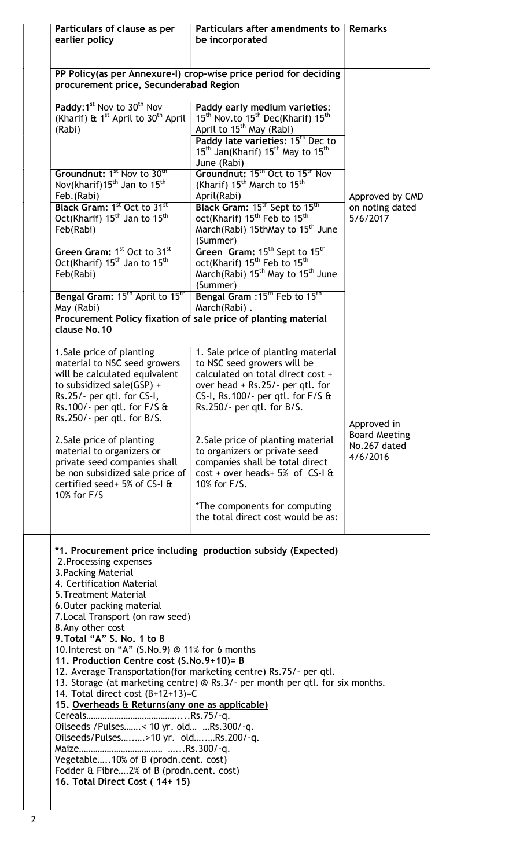| Particulars of clause as per<br>earlier policy                                                                                                                                                                                                                                                                                                                                                                                                                                                                                                                                                                                                                                                                                                                                                                                                    | Particulars after amendments to<br>be incorporated                                                                                                                                                                                                                                                                                                                                                                                                     | <b>Remarks</b>                                                  |
|---------------------------------------------------------------------------------------------------------------------------------------------------------------------------------------------------------------------------------------------------------------------------------------------------------------------------------------------------------------------------------------------------------------------------------------------------------------------------------------------------------------------------------------------------------------------------------------------------------------------------------------------------------------------------------------------------------------------------------------------------------------------------------------------------------------------------------------------------|--------------------------------------------------------------------------------------------------------------------------------------------------------------------------------------------------------------------------------------------------------------------------------------------------------------------------------------------------------------------------------------------------------------------------------------------------------|-----------------------------------------------------------------|
| PP Policy(as per Annexure-I) crop-wise price period for deciding<br>procurement price, Secunderabad Region                                                                                                                                                                                                                                                                                                                                                                                                                                                                                                                                                                                                                                                                                                                                        |                                                                                                                                                                                                                                                                                                                                                                                                                                                        |                                                                 |
| Paddy: 1 <sup>st</sup> Nov to 30 <sup>th</sup> Nov<br>(Kharif) & $1^{st}$ April to $30^{th}$ April<br>(Rabi)                                                                                                                                                                                                                                                                                                                                                                                                                                                                                                                                                                                                                                                                                                                                      | Paddy early medium varieties:<br>15 <sup>th</sup> Nov.to 15 <sup>th</sup> Dec(Kharif) 15 <sup>th</sup><br>April to 15 <sup>th</sup> May (Rabi)<br>Paddy late varieties: 15 <sup>th</sup> Dec to<br>15 <sup>th</sup> Jan(Kharif) 15 <sup>th</sup> May to 15 <sup>th</sup><br>June (Rabi)                                                                                                                                                                |                                                                 |
| Groundnut: 1 <sup>st</sup> Nov to 30 <sup>th</sup><br>Nov(kharif)15 <sup>th</sup> Jan to 15 <sup>th</sup><br>Feb.(Rabi)<br>Black Gram: 1 <sup>st</sup> Oct to 31 <sup>st</sup><br>Oct(Kharif) 15 <sup>th</sup> Jan to 15 <sup>th</sup><br>Feb(Rabi)                                                                                                                                                                                                                                                                                                                                                                                                                                                                                                                                                                                               | Groundnut: 15 <sup>th</sup> Oct to 15 <sup>th</sup> Nov<br>(Kharif) 15 <sup>th</sup> March to 15 <sup>th</sup><br>April(Rabi)<br>Black Gram: 15 <sup>th</sup> Sept to 15 <sup>th</sup><br>oct(Kharif) 15 <sup>th</sup> Feb to 15 <sup>th</sup><br>March(Rabi) 15thMay to 15 <sup>th</sup> June<br>(Summer)                                                                                                                                             | Approved by CMD<br>on noting dated<br>5/6/2017                  |
| Green Gram: 1 <sup>st</sup> Oct to 31 <sup>st</sup><br>Oct(Kharif) 15 <sup>th</sup> Jan to 15 <sup>th</sup><br>Feb(Rabi)<br>Bengal Gram: 15 <sup>th</sup> April to 15 <sup>th</sup>                                                                                                                                                                                                                                                                                                                                                                                                                                                                                                                                                                                                                                                               | Green Gram: 15 <sup>th</sup> Sept to 15 <sup>th</sup><br>oct(Kharif) 15 <sup>th</sup> Feb to 15 <sup>th</sup><br>March(Rabi) 15 <sup>th</sup> May to 15 <sup>th</sup> June<br>(Summer)<br>Bengal Gram : 15 <sup>th</sup> Feb to 15 <sup>th</sup>                                                                                                                                                                                                       |                                                                 |
| May (Rabi)<br>clause No.10                                                                                                                                                                                                                                                                                                                                                                                                                                                                                                                                                                                                                                                                                                                                                                                                                        | March(Rabi).<br>Procurement Policy fixation of sale price of planting material                                                                                                                                                                                                                                                                                                                                                                         |                                                                 |
| 1. Sale price of planting<br>material to NSC seed growers<br>will be calculated equivalent<br>to subsidized sale(GSP) +<br>Rs.25/- per qtl. for CS-I,<br>Rs.100/- per qtl. for F/S &<br>$Rs.250/-$ per qtl. for B/S.<br>2. Sale price of planting<br>material to organizers or<br>private seed companies shall<br>be non subsidized sale price of<br>certified seed+ 5% of CS-I &<br>10% for F/S                                                                                                                                                                                                                                                                                                                                                                                                                                                  | 1. Sale price of planting material<br>to NSC seed growers will be<br>calculated on total direct cost +<br>over head + Rs.25/- per qtl. for<br>CS-I, Rs.100/- per qtl. for $F/S$ &<br>Rs.250/- per qtl. for B/S.<br>2. Sale price of planting material<br>to organizers or private seed<br>companies shall be total direct<br>$cost + over heads + 5%$ of CS-I &<br>10% for F/S.<br>*The components for computing<br>the total direct cost would be as: | Approved in<br><b>Board Meeting</b><br>No.267 dated<br>4/6/2016 |
| *1. Procurement price including production subsidy (Expected)<br>2. Processing expenses<br>3. Packing Material<br>4. Certification Material<br>5. Treatment Material<br>6. Outer packing material<br>7. Local Transport (on raw seed)<br>8. Any other cost<br>9. Total "A" S. No. 1 to 8<br>10. Interest on "A" (S.No.9) @ 11% for 6 months<br>11. Production Centre cost (S.No.9+10)= B<br>12. Average Transportation(for marketing centre) Rs.75/- per qtl.<br>13. Storage (at marketing centre) @ Rs.3/- per month per qtl. for six months.<br>14. Total direct cost (B+12+13)=C<br>15. Overheads & Returns(any one as applicable)<br>Oilseeds / Pulses< 10 yr. old Rs.300/-q.<br>Oilseeds/Pulses > 10 yr. oldRs.200/-q.<br>Vegetable10% of B (prodn.cent. cost)<br>Fodder & Fibre2% of B (prodn.cent. cost)<br>16. Total Direct Cost (14+ 15) |                                                                                                                                                                                                                                                                                                                                                                                                                                                        |                                                                 |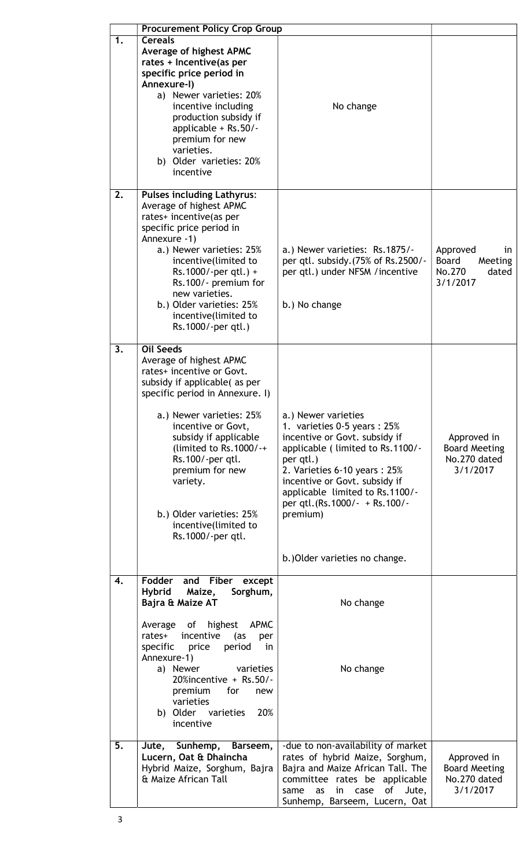|    | <b>Procurement Policy Crop Group</b>                                                                                                                                                                                                                                                                                                                                           |                                                                                                                                                                                                                                                                                                                            |                                                                   |
|----|--------------------------------------------------------------------------------------------------------------------------------------------------------------------------------------------------------------------------------------------------------------------------------------------------------------------------------------------------------------------------------|----------------------------------------------------------------------------------------------------------------------------------------------------------------------------------------------------------------------------------------------------------------------------------------------------------------------------|-------------------------------------------------------------------|
| 1. | <b>Cereals</b><br>Average of highest APMC<br>rates + Incentive(as per<br>specific price period in<br>Annexure-I)<br>a) Newer varieties: 20%<br>incentive including<br>production subsidy if<br>applicable + Rs.50/-<br>premium for new<br>varieties.<br>b) Older varieties: 20%<br>incentive                                                                                   | No change                                                                                                                                                                                                                                                                                                                  |                                                                   |
| 2. | <b>Pulses including Lathyrus:</b><br>Average of highest APMC<br>rates+ incentive(as per<br>specific price period in<br>Annexure -1)<br>a.) Newer varieties: 25%<br>incentive(limited to<br>$Rs.1000/-per$ qtl.) +<br>Rs.100/- premium for<br>new varieties.<br>b.) Older varieties: 25%<br>incentive(limited to<br>Rs.1000/-per qtl.)                                          | a.) Newer varieties: Rs.1875/-<br>per qtl. subsidy. (75% of Rs. 2500/-<br>per qtl.) under NFSM / incentive<br>b.) No change                                                                                                                                                                                                | Approved<br>in<br>Board<br>Meeting<br>No.270<br>dated<br>3/1/2017 |
| 3. | <b>Oil Seeds</b><br>Average of highest APMC<br>rates+ incentive or Govt.<br>subsidy if applicable(as per<br>specific period in Annexure. I)<br>a.) Newer varieties: 25%<br>incentive or Govt,<br>subsidy if applicable<br>(limited to $Rs.1000/++$<br>Rs.100/-per qtl.<br>premium for new<br>variety.<br>b.) Older varieties: 25%<br>incentive(limited to<br>Rs.1000/-per qtl. | a.) Newer varieties<br>1. varieties 0-5 years: 25%<br>incentive or Govt. subsidy if<br>applicable (limited to Rs.1100/-<br>per qtl.)<br>2. Varieties 6-10 years: 25%<br>incentive or Govt. subsidy if<br>applicable limited to Rs.1100/-<br>per qtl. (Rs. 1000/- + Rs. 100/-<br>premium)<br>b.) Older varieties no change. | Approved in<br><b>Board Meeting</b><br>No.270 dated<br>3/1/2017   |
| 4. | Fodder<br>and Fiber<br>except<br><b>Hybrid</b><br>Maize,<br>Sorghum,<br>Bajra & Maize AT<br>highest<br><b>APMC</b><br>of<br>Average<br>rates+<br>incentive<br>(as<br>per<br>period<br>specific<br>price<br>in<br>Annexure-1)<br>varieties<br>a) Newer<br>20%incentive + Rs.50/-<br>premium<br>for<br>new<br>varieties<br>20%<br>b) Older varieties<br>incentive                | No change<br>No change                                                                                                                                                                                                                                                                                                     |                                                                   |
| 5. | Sunhemp,<br>Barseem,<br>Jute,<br>Lucern, Oat & Dhaincha<br>Hybrid Maize, Sorghum, Bajra<br>& Maize African Tall                                                                                                                                                                                                                                                                | -due to non-availability of market<br>rates of hybrid Maize, Sorghum,<br>Bajra and Maize African Tall. The<br>committee rates be applicable<br>of<br>Jute,<br>in<br>same<br>as<br>case<br>Sunhemp, Barseem, Lucern, Oat                                                                                                    | Approved in<br><b>Board Meeting</b><br>No.270 dated<br>3/1/2017   |